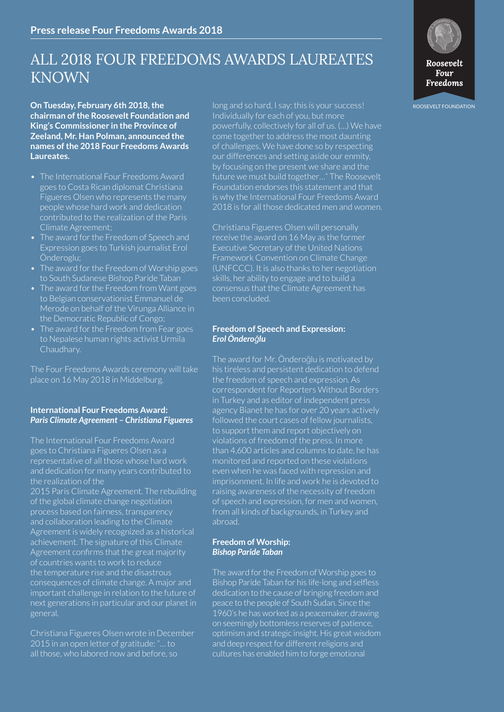# ALL 2018 FOUR FREEDOMS AWARDS LAUREATES KNOWN

**chairman of the Roosevelt Foundation and King's Commissioner in the Province of Zeeland, Mr. Han Polman, announced the names of the 2018 Four Freedoms Awards Laureates.**

- The International Four Freedoms Award goes to Costa Rican diplomat Christiana Figueres Olsen who represents the many people whose hard work and dedication contributed to the realization of the Paris Climate Agreement;
- The award for the Freedom of Speech and Expression goes to Turkish journalist Erol Önderoglu;
- The award for the Freedom of Worship goes to South Sudanese Bishop Paride Taban
- The award for the Freedom from Want goes to Belgian conservationist Emmanuel de Merode on behalf of the Virunga Alliance in the Democratic Republic of Congo;
- The award for the Freedom from Fear goes to Nepalese human rights activist Urmila Chaudhary.

The Four Freedoms Awards ceremony will take place on 16 May 2018 in Middelburg.

# **International Four Freedoms Award:** *Paris Climate Agreement – Christiana Figueres*

The International Four Freedoms Award goes to Christiana Figueres Olsen as a representative of all those whose hard work and dedication for many years contributed to the realization of the 2015 Paris Climate Agreement. The rebuilding

of the global climate change negotiation process based on fairness, transparency and collaboration leading to the Climate Agreement is widely recognized as a historical achievement. The signature of this Climate Agreement confirms that the great majority of countries wants to work to reduce the temperature rise and the disastrous consequences of climate change. A major and important challenge in relation to the future of next generations in particular and our planet in general.

Christiana Figueres Olsen wrote in December 2015 in an open letter of gratitude: "… to all those, who labored now and before, so

**On Tuesday, February 6th 2018, the** *Roof Burgand so hard, I say: this is your success!* **Roosevelt FOUNDATION** Individually for each of you, but more powerfully, collectively for all of us. (…) We have come together to address the most daunting of challenges. We have done so by respecting our differences and setting aside our enmity, by focusing on the present we share and the future we must build together…" The Roosevelt Foundation endorses this statement and that is why the International Four Freedoms Award 2018 is for all those dedicated men and women.

> Christiana Figueres Olsen will personally Executive Secretary of the United Nations Framework Convention on Climate Change (UNFCCC). It is also thanks to her negotiation skills, her ability to engage and to build a consensus that the Climate Agreement has been concluded.

### **Freedom of Speech and Expression:** *Erol Önderoǧlu*

The award for Mr. Önderoǧlu is motivated by his tireless and persistent dedication to defend the freedom of speech and expression. As correspondent for Reporters Without Borders in Turkey and as editor of independent press agency Bianet he has for over 20 years actively followed the court cases of fellow journalists, to support them and report objectively on violations of freedom of the press. In more than 4,600 articles and columns to date, he has monitored and reported on these violations even when he was faced with repression and imprisonment. In life and work he is devoted to raising awareness of the necessity of freedom of speech and expression, for men and women, from all kinds of backgrounds, in Turkey and abroad.

## **Freedom of Worship:**  *Bishop Paride Taban*

The award for the Freedom of Worship goes to Bishop Paride Taban for his life-long and selfless dedication to the cause of bringing freedom and peace to the people of South Sudan. Since the 1960's he has worked as a peacemaker, drawing on seemingly bottomless reserves of patience, optimism and strategic insight. His great wisdom and deep respect for different religions and cultures has enabled him to forge emotional